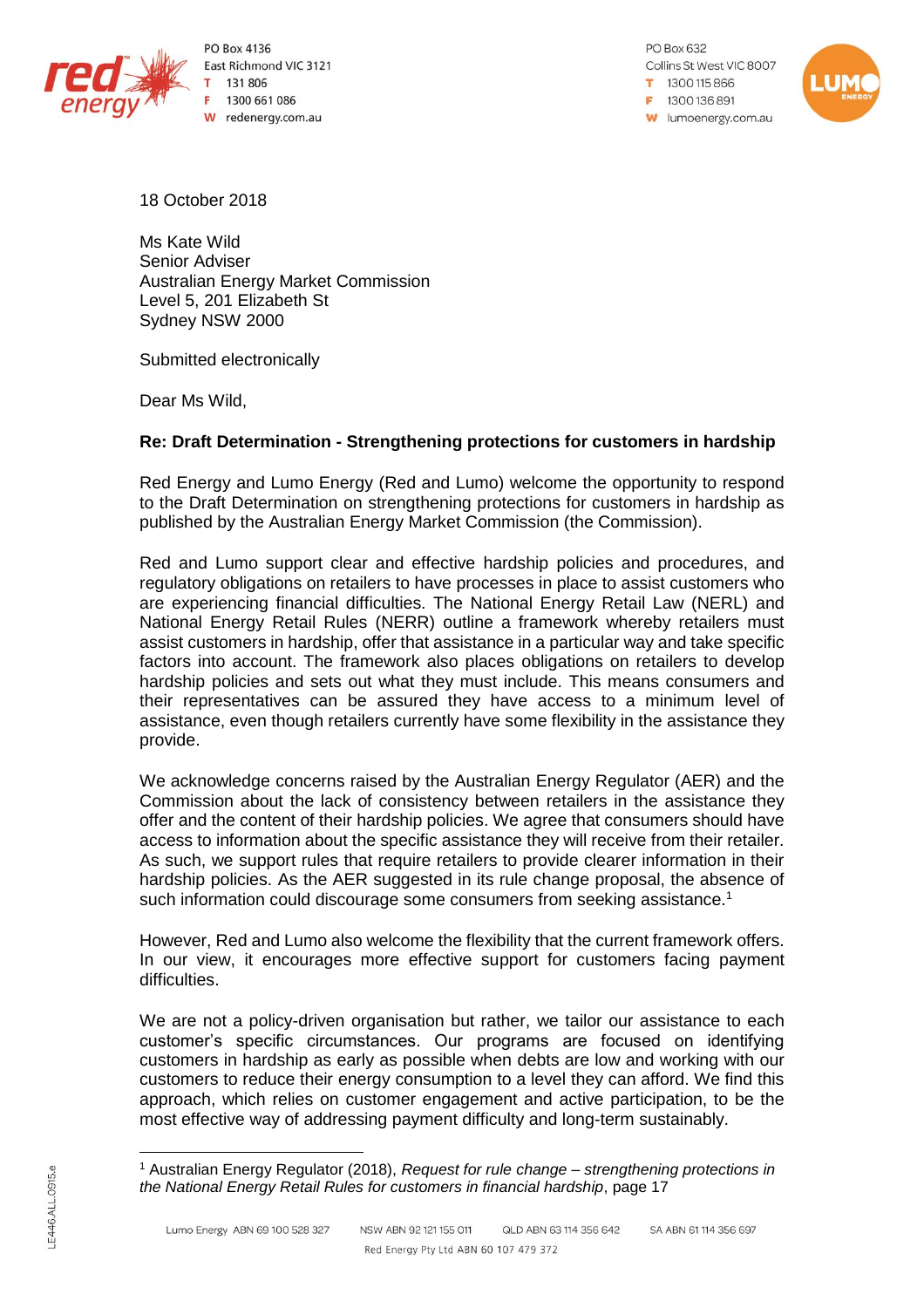

PO Box 4136 East Richmond VIC 3121 131 806 1300 661 086 W redenergy.com.au

PO Box 632 Collins St West VIC 8007 1300115866 F 1300 136 891 **W** lumoenergy.com.au



18 October 2018

Ms Kate Wild Senior Adviser Australian Energy Market Commission Level 5, 201 Elizabeth St Sydney NSW 2000

Submitted electronically

Dear Ms Wild,

# **Re: Draft Determination - Strengthening protections for customers in hardship**

Red Energy and Lumo Energy (Red and Lumo) welcome the opportunity to respond to the Draft Determination on strengthening protections for customers in hardship as published by the Australian Energy Market Commission (the Commission).

Red and Lumo support clear and effective hardship policies and procedures, and regulatory obligations on retailers to have processes in place to assist customers who are experiencing financial difficulties. The National Energy Retail Law (NERL) and National Energy Retail Rules (NERR) outline a framework whereby retailers must assist customers in hardship, offer that assistance in a particular way and take specific factors into account. The framework also places obligations on retailers to develop hardship policies and sets out what they must include. This means consumers and their representatives can be assured they have access to a minimum level of assistance, even though retailers currently have some flexibility in the assistance they provide.

We acknowledge concerns raised by the Australian Energy Regulator (AER) and the Commission about the lack of consistency between retailers in the assistance they offer and the content of their hardship policies. We agree that consumers should have access to information about the specific assistance they will receive from their retailer. As such, we support rules that require retailers to provide clearer information in their hardship policies. As the AER suggested in its rule change proposal, the absence of such information could discourage some consumers from seeking assistance.<sup>1</sup>

However, Red and Lumo also welcome the flexibility that the current framework offers. In our view, it encourages more effective support for customers facing payment difficulties.

We are not a policy-driven organisation but rather, we tailor our assistance to each customer's specific circumstances. Our programs are focused on identifying customers in hardship as early as possible when debts are low and working with our customers to reduce their energy consumption to a level they can afford. We find this approach, which relies on customer engagement and active participation, to be the most effective way of addressing payment difficulty and long-term sustainably.

 $\overline{a}$ 

<sup>1</sup> Australian Energy Regulator (2018), *Request for rule change – strengthening protections in the National Energy Retail Rules for customers in financial hardship*, page 17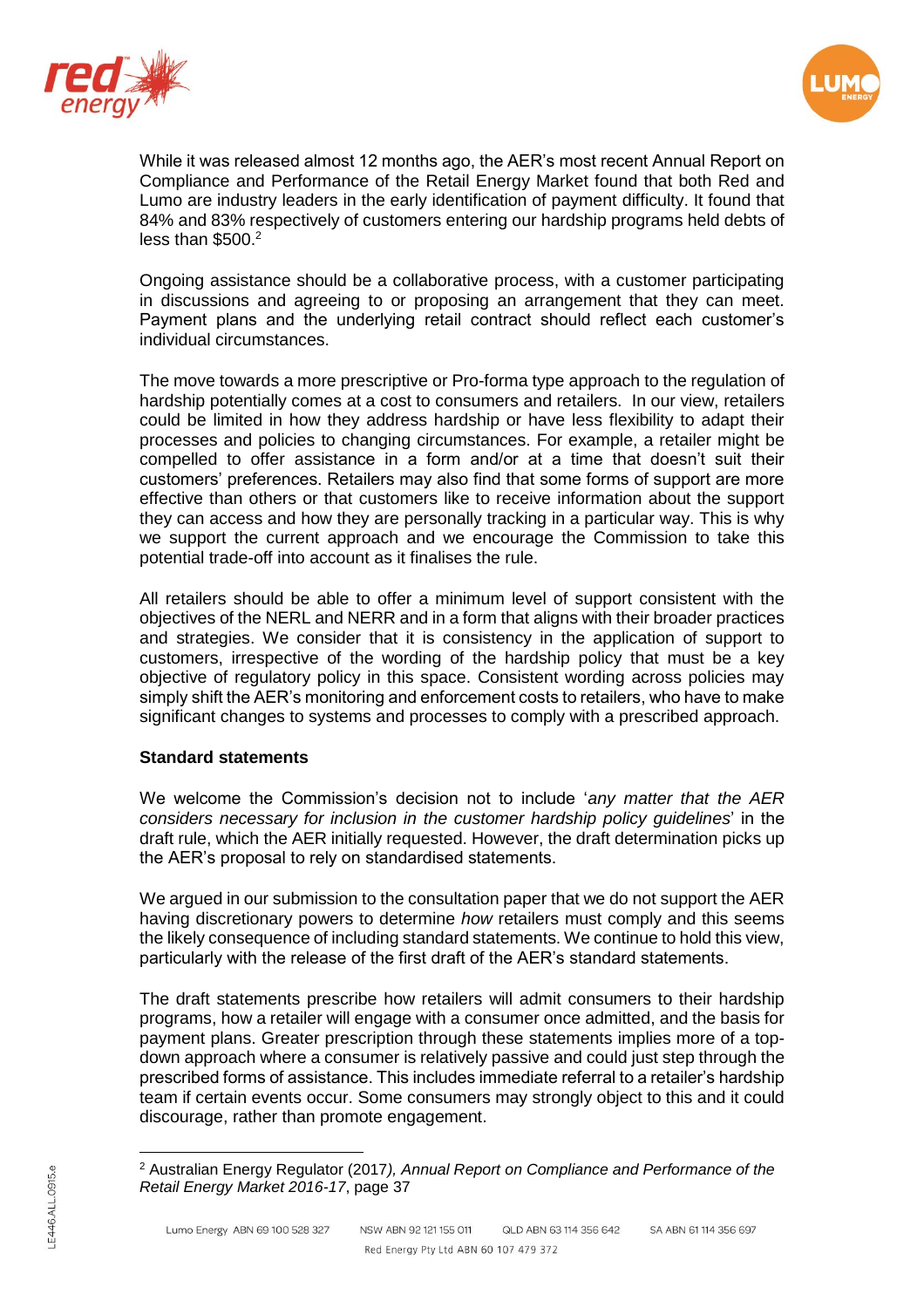



While it was released almost 12 months ago, the AER's most recent Annual Report on Compliance and Performance of the Retail Energy Market found that both Red and Lumo are industry leaders in the early identification of payment difficulty. It found that 84% and 83% respectively of customers entering our hardship programs held debts of less than  $$500.<sup>2</sup>$ 

Ongoing assistance should be a collaborative process, with a customer participating in discussions and agreeing to or proposing an arrangement that they can meet. Payment plans and the underlying retail contract should reflect each customer's individual circumstances.

The move towards a more prescriptive or Pro-forma type approach to the regulation of hardship potentially comes at a cost to consumers and retailers. In our view, retailers could be limited in how they address hardship or have less flexibility to adapt their processes and policies to changing circumstances. For example, a retailer might be compelled to offer assistance in a form and/or at a time that doesn't suit their customers' preferences. Retailers may also find that some forms of support are more effective than others or that customers like to receive information about the support they can access and how they are personally tracking in a particular way. This is why we support the current approach and we encourage the Commission to take this potential trade-off into account as it finalises the rule.

All retailers should be able to offer a minimum level of support consistent with the objectives of the NERL and NERR and in a form that aligns with their broader practices and strategies. We consider that it is consistency in the application of support to customers, irrespective of the wording of the hardship policy that must be a key objective of regulatory policy in this space. Consistent wording across policies may simply shift the AER's monitoring and enforcement costs to retailers, who have to make significant changes to systems and processes to comply with a prescribed approach.

# **Standard statements**

We welcome the Commission's decision not to include '*any matter that the AER considers necessary for inclusion in the customer hardship policy guidelines*' in the draft rule, which the AER initially requested. However, the draft determination picks up the AER's proposal to rely on standardised statements.

We argued in our submission to the consultation paper that we do not support the AER having discretionary powers to determine *how* retailers must comply and this seems the likely consequence of including standard statements. We continue to hold this view, particularly with the release of the first draft of the AER's standard statements.

The draft statements prescribe how retailers will admit consumers to their hardship programs, how a retailer will engage with a consumer once admitted, and the basis for payment plans. Greater prescription through these statements implies more of a topdown approach where a consumer is relatively passive and could just step through the prescribed forms of assistance. This includes immediate referral to a retailer's hardship team if certain events occur. Some consumers may strongly object to this and it could discourage, rather than promote engagement.

 $\overline{a}$ 

<sup>2</sup> Australian Energy Regulator (2017*), Annual Report on Compliance and Performance of the Retail Energy Market 2016-17*, page 37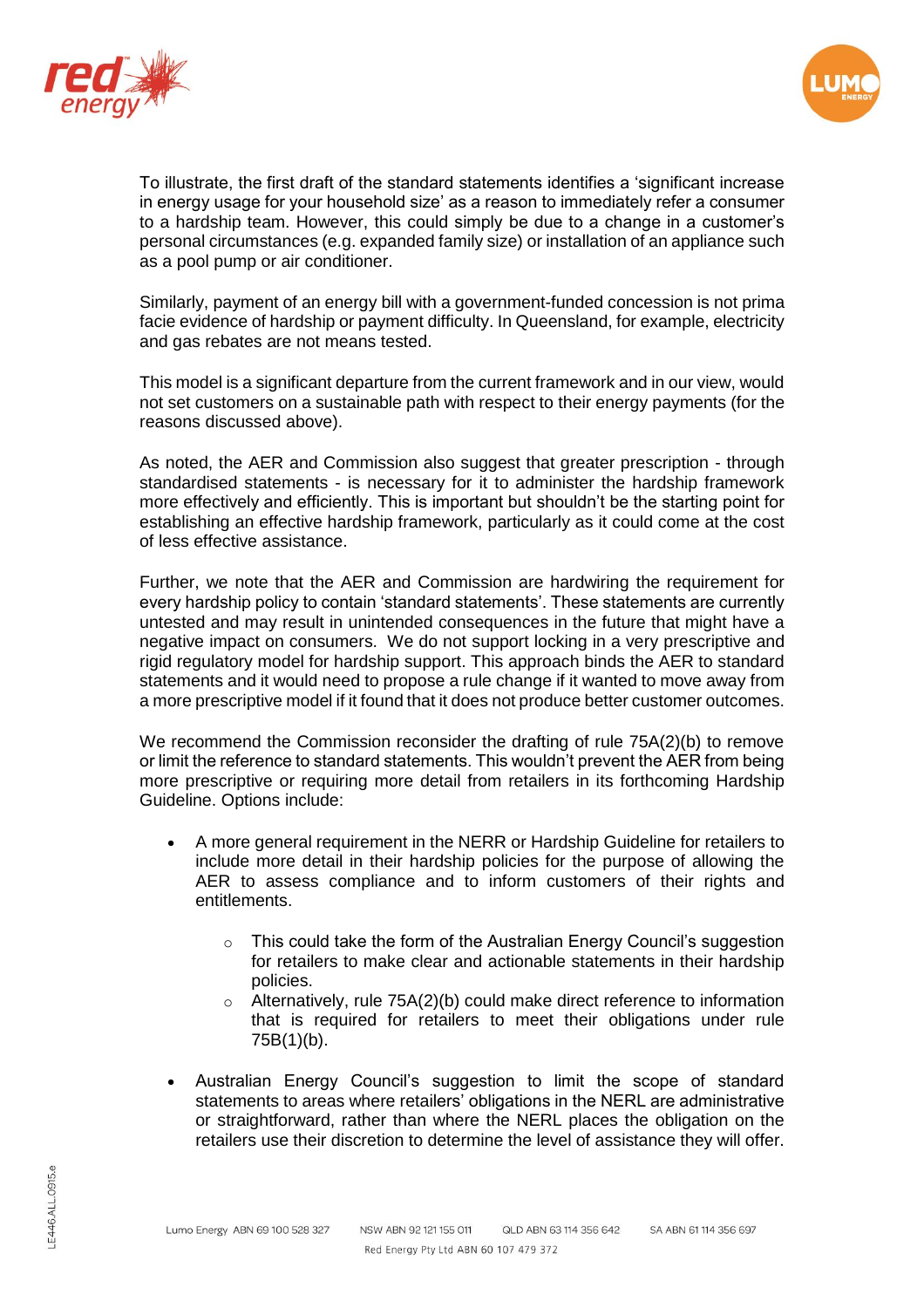



To illustrate, the first draft of the standard statements identifies a 'significant increase in energy usage for your household size' as a reason to immediately refer a consumer to a hardship team. However, this could simply be due to a change in a customer's personal circumstances (e.g. expanded family size) or installation of an appliance such as a pool pump or air conditioner.

Similarly, payment of an energy bill with a government-funded concession is not prima facie evidence of hardship or payment difficulty. In Queensland, for example, electricity and gas rebates are not means tested.

This model is a significant departure from the current framework and in our view, would not set customers on a sustainable path with respect to their energy payments (for the reasons discussed above).

As noted, the AER and Commission also suggest that greater prescription - through standardised statements - is necessary for it to administer the hardship framework more effectively and efficiently. This is important but shouldn't be the starting point for establishing an effective hardship framework, particularly as it could come at the cost of less effective assistance.

Further, we note that the AER and Commission are hardwiring the requirement for every hardship policy to contain 'standard statements'. These statements are currently untested and may result in unintended consequences in the future that might have a negative impact on consumers. We do not support locking in a very prescriptive and rigid regulatory model for hardship support. This approach binds the AER to standard statements and it would need to propose a rule change if it wanted to move away from a more prescriptive model if it found that it does not produce better customer outcomes.

We recommend the Commission reconsider the drafting of rule 75A(2)(b) to remove or limit the reference to standard statements. This wouldn't prevent the AER from being more prescriptive or requiring more detail from retailers in its forthcoming Hardship Guideline. Options include:

- A more general requirement in the NERR or Hardship Guideline for retailers to include more detail in their hardship policies for the purpose of allowing the AER to assess compliance and to inform customers of their rights and entitlements.
	- o This could take the form of the Australian Energy Council's suggestion for retailers to make clear and actionable statements in their hardship policies.
	- o Alternatively, rule 75A(2)(b) could make direct reference to information that is required for retailers to meet their obligations under rule 75B(1)(b).
- Australian Energy Council's suggestion to limit the scope of standard statements to areas where retailers' obligations in the NERL are administrative or straightforward, rather than where the NERL places the obligation on the retailers use their discretion to determine the level of assistance they will offer.